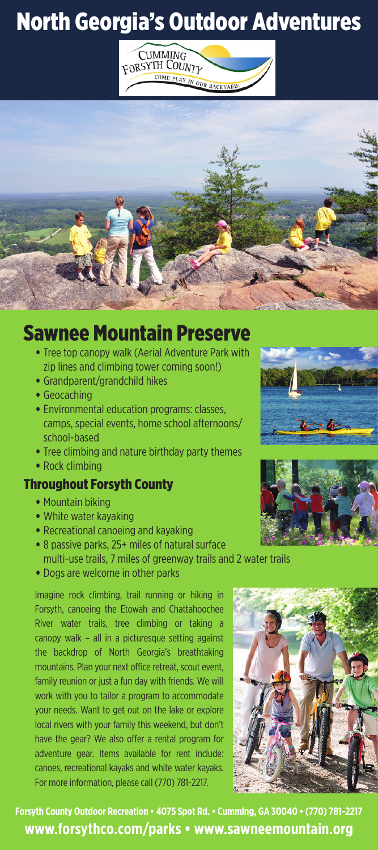# North Georgia's Outdoor Adventures





### Sawnee Mountain Preserve

- Tree top canopy walk (Aerial Adventure Park with zip lines and climbing tower coming soon!)
- Grandparent/grandchild hikes
- Geocaching
- Environmental education programs: classes, camps, special events, home school afternoons/ school-based
- Tree climbing and nature birthday party themes
- Rock climbing

#### Throughout Forsyth County

- Mountain biking
- White water kayaking
- Recreational canoeing and kayaking
- 8 passive parks, 25+ miles of natural surface
- multi-use trails, 7 miles of greenway trails and 2 water trails • Dogs are welcome in other parks

Imagine rock climbing, trail running or hiking in Forsyth, canoeing the Etowah and Chattahoochee River water trails, tree climbing or taking a canopy walk – all in a picturesque setting against the backdrop of North Georgia's breathtaking mountains. Plan your next office retreat, scout event, family reunion or just a fun day with friends. We will work with you to tailor a program to accommodate your needs. Want to get out on the lake or explore local rivers with your family this weekend, but don't have the gear? We also offer a rental program for adventure gear. Items available for rent include: canoes, recreational kayaks and white water kayaks. For more information, please call (770) 781-2217.



**Forsyth County Outdoor Recreation • 4075 Spot Rd. • Cumming, GA 30040 • (770) 781-2217 www.forsythco.com/parks • www.sawneemountain.org**